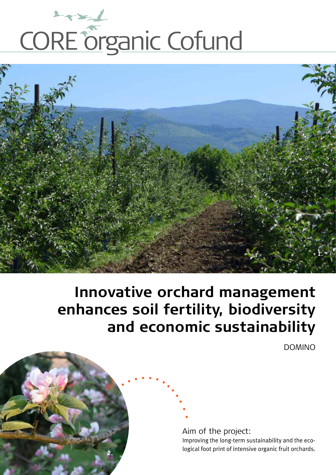



# **Innovative orchard management enhances soil fertility, biodiversity and economic sustainability**

DOMINO

Aim of the project: Improving the long-term sustainability and the ecological foot print of intensive organic fruit orchards. **2.**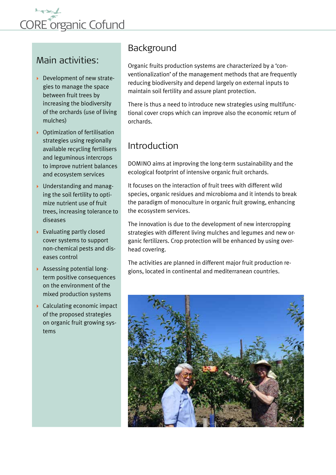

# Main activities:

- Development of new strategies to manage the space between fruit trees by increasing the biodiversity of the orchards (use of living mulches)
- $\rightarrow$  Optimization of fertilisation strategies using regionally available recycling fertilisers and leguminous intercrops to improve nutrient balances and ecosystem services
- ▶ Understanding and managing the soil fertility to optimize nutrient use of fruit trees, increasing tolerance to diseases
- ▶ Evaluating partly closed cover systems to support non-chemical pests and diseases control
- Assessing potential longterm positive consequences on the environment of the mixed production systems
- ▶ Calculating economic impact of the proposed strategies on organic fruit growing systems

# Background

Organic fruits production systems are characterized by a 'conventionalization' of the management methods that are frequently reducing biodiversity and depend largely on external inputs to maintain soil fertility and assure plant protection.

There is thus a need to introduce new strategies using multifunctional cover crops which can improve also the economic return of orchards.

# Introduction

DOMINO aims at improving the long-term sustainability and the ecological footprint of intensive organic fruit orchards.

It focuses on the interaction of fruit trees with different wild species, organic residues and microbioma and it intends to break the paradigm of monoculture in organic fruit growing, enhancing the ecosystem services.

The innovation is due to the development of new intercropping strategies with different living mulches and legumes and new organic fertilizers. Crop protection will be enhanced by using overhead covering.

The activities are planned in different major fruit production regions, located in continental and mediterranean countries.

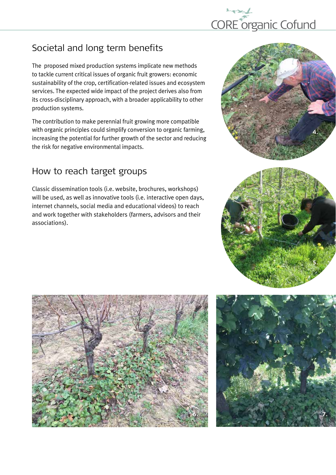

# Societal and long term benefits

The proposed mixed production systems implicate new methods to tackle current critical issues of organic fruit growers: economic sustainability of the crop, certification-related issues and ecosystem services. The expected wide impact of the project derives also from its cross-disciplinary approach, with a broader applicability to other production systems.

The contribution to make perennial fruit growing more compatible with organic principles could simplify conversion to organic farming, increasing the potential for further growth of the sector and reducing the risk for negative environmental impacts.

# How to reach target groups

Classic dissemination tools (i.e. website, brochures, workshops) will be used, as well as innovative tools (i.e. interactive open days, internet channels, social media and educational videos) to reach and work together with stakeholders (farmers, advisors and their associations).







**5.**